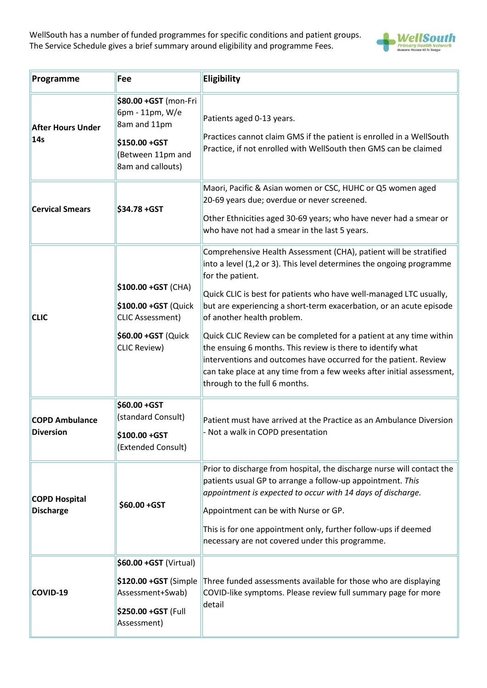WellSouth has a number of funded programmes for specific conditions and patient groups. The Service Schedule gives a brief summary around eligibility and programme Fees.



| Programme                                 | Fee                                                                                                                  | Eligibility                                                                                                                                                                                                                                                                                                                                                                                                                                                                                                                                                                                                                                                  |
|-------------------------------------------|----------------------------------------------------------------------------------------------------------------------|--------------------------------------------------------------------------------------------------------------------------------------------------------------------------------------------------------------------------------------------------------------------------------------------------------------------------------------------------------------------------------------------------------------------------------------------------------------------------------------------------------------------------------------------------------------------------------------------------------------------------------------------------------------|
| <b>After Hours Under</b><br>14s           | \$80.00 +GST (mon-Fri<br>6pm - 11pm, W/e<br>8am and 11pm<br>\$150.00 +GST<br>(Between 11pm and<br>8am and callouts)  | Patients aged 0-13 years.<br>Practices cannot claim GMS if the patient is enrolled in a WellSouth<br>Practice, if not enrolled with WellSouth then GMS can be claimed                                                                                                                                                                                                                                                                                                                                                                                                                                                                                        |
| <b>Cervical Smears</b>                    | \$34.78 + GST                                                                                                        | Maori, Pacific & Asian women or CSC, HUHC or Q5 women aged<br>20-69 years due; overdue or never screened.<br>Other Ethnicities aged 30-69 years; who have never had a smear or<br>who have not had a smear in the last 5 years.                                                                                                                                                                                                                                                                                                                                                                                                                              |
| <b>CLIC</b>                               | \$100.00 +GST (CHA)<br>\$100.00 +GST (Quick<br><b>CLIC Assessment)</b><br>\$60.00 +GST (Quick<br><b>CLIC Review)</b> | Comprehensive Health Assessment (CHA), patient will be stratified<br>into a level (1,2 or 3). This level determines the ongoing programme<br>for the patient.<br>Quick CLIC is best for patients who have well-managed LTC usually,<br>but are experiencing a short-term exacerbation, or an acute episode<br>of another health problem.<br>Quick CLIC Review can be completed for a patient at any time within<br>the ensuing 6 months. This review is there to identify what<br>interventions and outcomes have occurred for the patient. Review<br>can take place at any time from a few weeks after initial assessment,<br>through to the full 6 months. |
| <b>COPD Ambulance</b><br><b>Diversion</b> | \$60.00 + GST<br>(standard Consult)<br>\$100.00 +GST<br>(Extended Consult)                                           | Patient must have arrived at the Practice as an Ambulance Diversion<br>- Not a walk in COPD presentation                                                                                                                                                                                                                                                                                                                                                                                                                                                                                                                                                     |
| <b>COPD Hospital</b><br><b>Discharge</b>  | \$60.00 +GST                                                                                                         | Prior to discharge from hospital, the discharge nurse will contact the<br>patients usual GP to arrange a follow-up appointment. This<br>appointment is expected to occur with 14 days of discharge.<br>Appointment can be with Nurse or GP.<br>This is for one appointment only, further follow-ups if deemed<br>necessary are not covered under this programme.                                                                                                                                                                                                                                                                                             |
| COVID-19                                  | \$60.00 +GST (Virtual)<br>\$120.00 +GST (Simple<br>Assessment+Swab)<br>\$250.00 +GST (Full<br>Assessment)            | Three funded assessments available for those who are displaying<br>COVID-like symptoms. Please review full summary page for more<br>detail                                                                                                                                                                                                                                                                                                                                                                                                                                                                                                                   |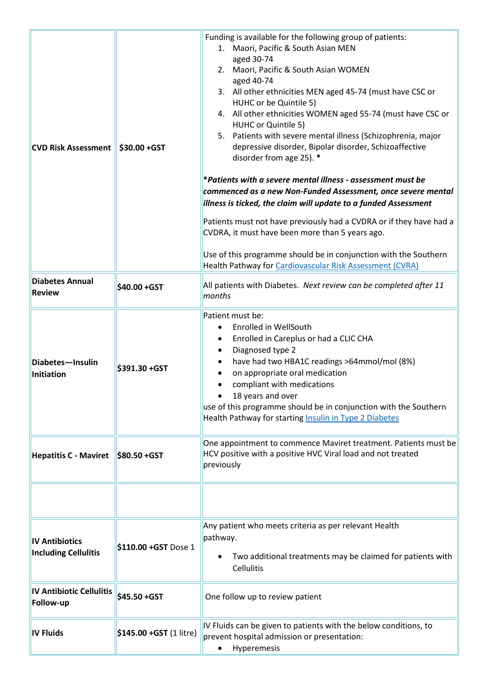| <b>CVD Risk Assessment</b>                           | \$30.00 +GST            | Funding is available for the following group of patients:<br>1. Maori, Pacific & South Asian MEN<br>aged 30-74<br>2. Maori, Pacific & South Asian WOMEN<br>aged 40-74<br>3. All other ethnicities MEN aged 45-74 (must have CSC or<br>HUHC or be Quintile 5)<br>4. All other ethnicities WOMEN aged 55-74 (must have CSC or<br>HUHC or Quintile 5)<br>5. Patients with severe mental illness (Schizophrenia, major<br>depressive disorder, Bipolar disorder, Schizoaffective<br>disorder from age 25). *<br>*Patients with a severe mental illness - assessment must be<br>commenced as a new Non-Funded Assessment, once severe mental<br>illness is ticked, the claim will update to a funded Assessment<br>Patients must not have previously had a CVDRA or if they have had a<br>CVDRA, it must have been more than 5 years ago.<br>Use of this programme should be in conjunction with the Southern<br>Health Pathway for Cardiovascular Risk Assessment (CVRA) |
|------------------------------------------------------|-------------------------|----------------------------------------------------------------------------------------------------------------------------------------------------------------------------------------------------------------------------------------------------------------------------------------------------------------------------------------------------------------------------------------------------------------------------------------------------------------------------------------------------------------------------------------------------------------------------------------------------------------------------------------------------------------------------------------------------------------------------------------------------------------------------------------------------------------------------------------------------------------------------------------------------------------------------------------------------------------------|
| <b>Diabetes Annual</b><br><b>Review</b>              | \$40.00 +GST            | All patients with Diabetes. Next review can be completed after 11<br>months                                                                                                                                                                                                                                                                                                                                                                                                                                                                                                                                                                                                                                                                                                                                                                                                                                                                                          |
| Diabetes-Insulin<br>Initiation                       | \$391.30 +GST           | Patient must be:<br><b>Enrolled in WellSouth</b><br>Enrolled in Careplus or had a CLIC CHA<br>Diagnosed type 2<br>have had two HBA1C readings >64mmol/mol (8%)<br>on appropriate oral medication<br>compliant with medications<br>18 years and over<br>use of this programme should be in conjunction with the Southern<br>Health Pathway for starting Insulin in Type 2 Diabetes                                                                                                                                                                                                                                                                                                                                                                                                                                                                                                                                                                                    |
| <b>Hepatitis C - Maviret</b>                         | \$80.50 + GST           | One appointment to commence Maviret treatment. Patients must be<br>HCV positive with a positive HVC Viral load and not treated<br>previously                                                                                                                                                                                                                                                                                                                                                                                                                                                                                                                                                                                                                                                                                                                                                                                                                         |
|                                                      |                         |                                                                                                                                                                                                                                                                                                                                                                                                                                                                                                                                                                                                                                                                                                                                                                                                                                                                                                                                                                      |
| <b>IV Antibiotics</b><br><b>Including Cellulitis</b> | \$110.00 +GST Dose 1    | Any patient who meets criteria as per relevant Health<br>pathway.<br>Two additional treatments may be claimed for patients with<br>Cellulitis                                                                                                                                                                                                                                                                                                                                                                                                                                                                                                                                                                                                                                                                                                                                                                                                                        |
| <b>IV Antibiotic Cellulitis</b><br>Follow-up         | \$45.50 +GST            | One follow up to review patient                                                                                                                                                                                                                                                                                                                                                                                                                                                                                                                                                                                                                                                                                                                                                                                                                                                                                                                                      |
| <b>IV Fluids</b>                                     | \$145.00 +GST (1 litre) | IV Fluids can be given to patients with the below conditions, to<br>prevent hospital admission or presentation:<br>Hyperemesis                                                                                                                                                                                                                                                                                                                                                                                                                                                                                                                                                                                                                                                                                                                                                                                                                                       |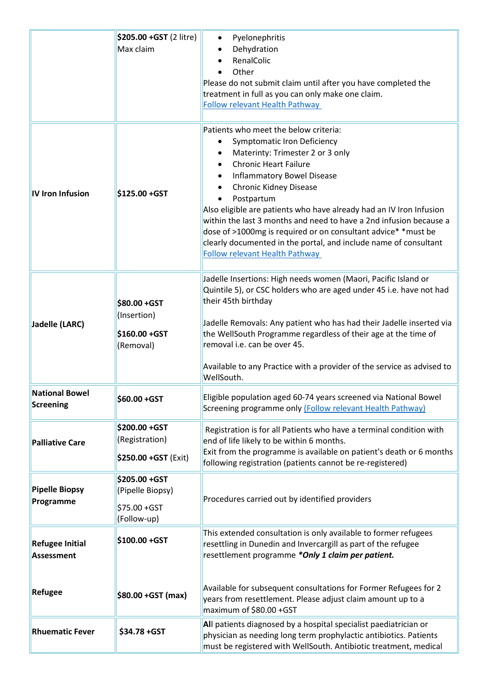|                         | \$205.00 +GST (2 litre)      | Pyelonephritis<br>٠                                                                                                           |
|-------------------------|------------------------------|-------------------------------------------------------------------------------------------------------------------------------|
|                         | Max claim                    | Dehydration                                                                                                                   |
|                         |                              | RenalColic                                                                                                                    |
|                         |                              | Other                                                                                                                         |
|                         |                              | Please do not submit claim until after you have completed the                                                                 |
|                         |                              | treatment in full as you can only make one claim.                                                                             |
|                         |                              | <b>Follow relevant Health Pathway</b>                                                                                         |
|                         |                              |                                                                                                                               |
|                         |                              | Patients who meet the below criteria:                                                                                         |
|                         |                              | <b>Symptomatic Iron Deficiency</b><br>٠                                                                                       |
|                         |                              | Materinty: Trimester 2 or 3 only                                                                                              |
|                         |                              | <b>Chronic Heart Failure</b>                                                                                                  |
|                         |                              | <b>Inflammatory Bowel Disease</b>                                                                                             |
| <b>IV Iron Infusion</b> | \$125.00 +GST                | <b>Chronic Kidney Disease</b>                                                                                                 |
|                         |                              | Postpartum<br>Also eligible are patients who have already had an IV Iron Infusion                                             |
|                         |                              | within the last 3 months and need to have a 2nd infusion because a                                                            |
|                         |                              | dose of >1000mg is required or on consultant advice* *must be                                                                 |
|                         |                              | clearly documented in the portal, and include name of consultant                                                              |
|                         |                              | <b>Follow relevant Health Pathway</b>                                                                                         |
|                         |                              |                                                                                                                               |
|                         |                              | Jadelle Insertions: High needs women (Maori, Pacific Island or                                                                |
|                         |                              | Quintile 5), or CSC holders who are aged under 45 i.e. have not had                                                           |
|                         | \$80.00 + GST                | their 45th birthday                                                                                                           |
|                         | (Insertion)                  |                                                                                                                               |
| Jadelle (LARC)          |                              | Jadelle Removals: Any patient who has had their Jadelle inserted via                                                          |
|                         | \$160.00 +GST                | the WellSouth Programme regardless of their age at the time of                                                                |
|                         | (Removal)                    | removal i.e. can be over 45.                                                                                                  |
|                         |                              | Available to any Practice with a provider of the service as advised to                                                        |
|                         |                              | WellSouth.                                                                                                                    |
| <b>National Bowel</b>   |                              |                                                                                                                               |
| Screening               | \$60.00 +GST                 | Eligible population aged 60-74 years screened via National Bowel<br>Screening programme only (Follow relevant Health Pathway) |
|                         |                              |                                                                                                                               |
|                         | \$200.00 +GST                | Registration is for all Patients who have a terminal condition with                                                           |
| <b>Palliative Care</b>  | (Registration)               | end of life likely to be within 6 months.                                                                                     |
|                         |                              | Exit from the programme is available on patient's death or 6 months                                                           |
|                         | \$250.00 +GST (Exit)         | following registration (patients cannot be re-registered)                                                                     |
|                         | \$205.00 +GST                |                                                                                                                               |
| <b>Pipelle Biopsy</b>   | (Pipelle Biopsy)             |                                                                                                                               |
| Programme               |                              | Procedures carried out by identified providers                                                                                |
|                         | \$75.00 + GST<br>(Follow-up) |                                                                                                                               |
|                         |                              |                                                                                                                               |
|                         | \$100.00 +GST                | This extended consultation is only available to former refugees                                                               |
| <b>Refugee Initial</b>  |                              | resettling in Dunedin and Invercargill as part of the refugee                                                                 |
| <b>Assessment</b>       |                              | resettlement programme *Only 1 claim per patient.                                                                             |
|                         |                              |                                                                                                                               |
| <b>Refugee</b>          |                              | Available for subsequent consultations for Former Refugees for 2                                                              |
|                         | \$80.00 +GST (max)           | years from resettlement. Please adjust claim amount up to a                                                                   |
|                         |                              | maximum of \$80.00 +GST                                                                                                       |
|                         |                              | All patients diagnosed by a hospital specialist paediatrician or                                                              |
| <b>Rhuematic Fever</b>  | \$34.78 + GST                | physician as needing long term prophylactic antibiotics. Patients                                                             |
|                         |                              | must be registered with WellSouth. Antibiotic treatment, medical                                                              |